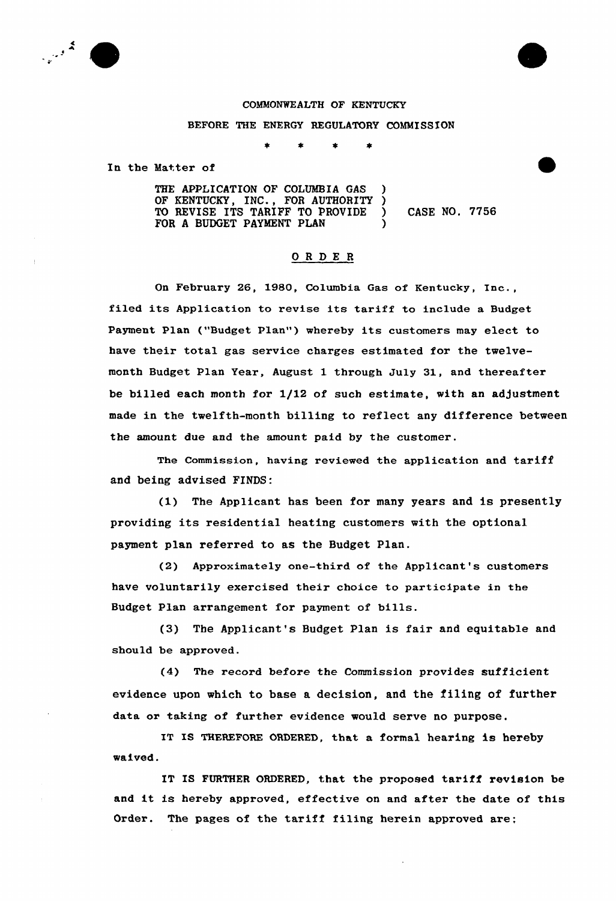

## COMMONWEALTH OF KENTUCKY

BEFORE THE ENERGY REGULATORY COMMISSION

In the Matter of

THE APPLICATION OF COLUMBIA GAS OF KENTUCKY, INC., FOR AUTHORITY)<br>TO REVISE ITS TARIFF TO PROVIDE) TO REVISE ITS TARIFF TO PROVIDE ) CASE NO. 7756<br>FOR A BUDGET PAYMENT PLAN FOR A BUDGET PAYMENT PLAN

## ORDE <sup>R</sup>

On February 26, 1980, Columbia Gas of Kentucky, Inc., filed its Application to revise its tariff to include <sup>a</sup> Budget Payment Plan ("Budget Plan") whereby its customers may elect to have their total gas service charges estimated for the twelvemonth Budget Plan Year, August 1 through July 31, and thereafter be billed each month for 1/12 of such estimate, with an adjustment made in the twelfth-month billing to reflect any difference between the amount due and the amount paid by the customer.

The Commission, having reviewed the application and tariff and being advised FINDS:

(1) The Applicant has been for many years and is presently providing its residential heating customers with the optional payment plan referred to as the Budget Plan.

(2) Approximately one-third of the Applicant's customers have voluntarily exercised their choice to participate in the Budget Plan arrangement for payment of bills.

(3) The Applicant's Budget Plan is fair and equitable and should be approved.

(4) The record before the Commission provides sufficient evidence upon which to base a decision, and the filing of further data or taking of further evidence would serve no purpose.

IT IS THEREFORE ORDERED, that a formal hearing is hereby waived.

IT IS FURTHER ORDERED, that the proposed tariff revision be and it is hereby approved, effective on and after the date of this Order. The pages of the tariff filing herein approved are;